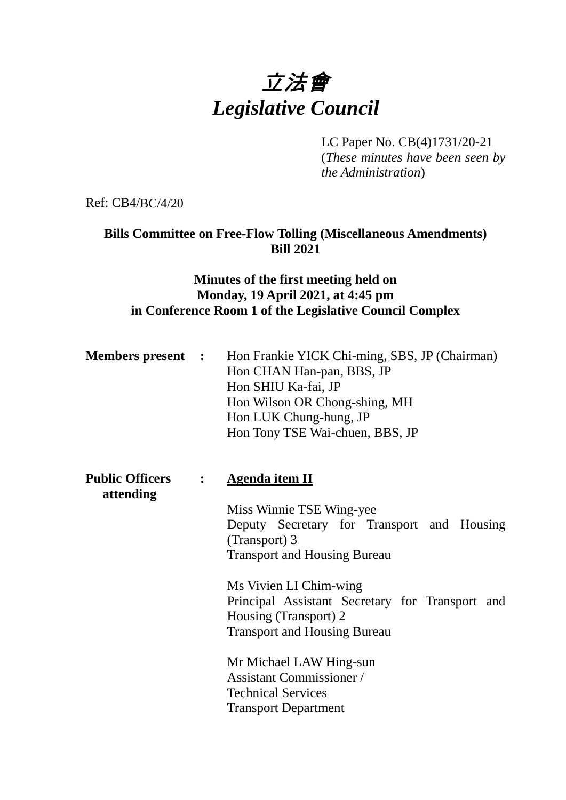# 立法會 *Legislative Council*

LC Paper No. CB(4)1731/20-21

(*These minutes have been seen by the Administration*)

Ref: CB4/BC/4/20

## **Bills Committee on Free-Flow Tolling (Miscellaneous Amendments) Bill 2021**

## **Minutes of the first meeting held on Monday, 19 April 2021, at 4:45 pm in Conference Room 1 of the Legislative Council Complex**

|  | <b>Members present :</b> Hon Frankie YICK Chi-ming, SBS, JP (Chairman)<br>Hon CHAN Han-pan, BBS, JP<br>Hon SHIU Ka-fai, JP<br>Hon Wilson OR Chong-shing, MH<br>Hon LUK Chung-hung, JP |
|--|---------------------------------------------------------------------------------------------------------------------------------------------------------------------------------------|
|  | Hon Tony TSE Wai-chuen, BBS, JP                                                                                                                                                       |

**Public Officers : Agenda item II attending** Miss Winnie TSE Wing-yee Deputy Secretary for Transport and Housing (Transport) 3 Transport and Housing Bureau Ms Vivien LI Chim-wing Principal Assistant Secretary for Transport and Housing (Transport) 2 Transport and Housing Bureau Mr Michael LAW Hing-sun Assistant Commissioner / Technical Services Transport Department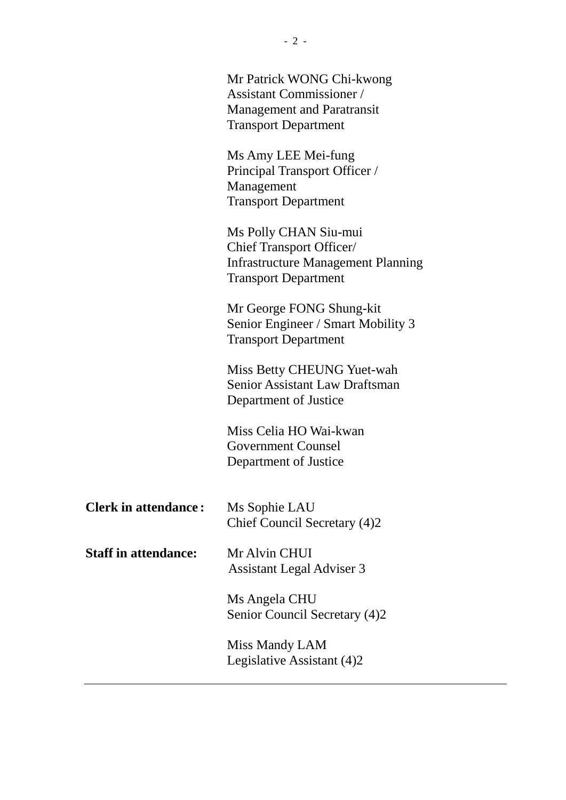|                             | Mr Patrick WONG Chi-kwong<br><b>Assistant Commissioner</b> /<br><b>Management and Paratransit</b><br><b>Transport Department</b>     |
|-----------------------------|--------------------------------------------------------------------------------------------------------------------------------------|
|                             | Ms Amy LEE Mei-fung<br>Principal Transport Officer /<br>Management<br><b>Transport Department</b>                                    |
|                             | Ms Polly CHAN Siu-mui<br><b>Chief Transport Officer/</b><br><b>Infrastructure Management Planning</b><br><b>Transport Department</b> |
|                             | Mr George FONG Shung-kit<br>Senior Engineer / Smart Mobility 3<br><b>Transport Department</b>                                        |
|                             | Miss Betty CHEUNG Yuet-wah<br><b>Senior Assistant Law Draftsman</b><br>Department of Justice                                         |
|                             | Miss Celia HO Wai-kwan<br>Government Counsel<br>Department of Justice                                                                |
| <b>Clerk in attendance:</b> | Ms Sophie LAU<br>Chief Council Secretary (4)2                                                                                        |
| <b>Staff in attendance:</b> | Mr Alvin CHUI<br><b>Assistant Legal Adviser 3</b>                                                                                    |
|                             | Ms Angela CHU<br>Senior Council Secretary (4)2                                                                                       |
|                             | Miss Mandy LAM<br>Legislative Assistant (4)2                                                                                         |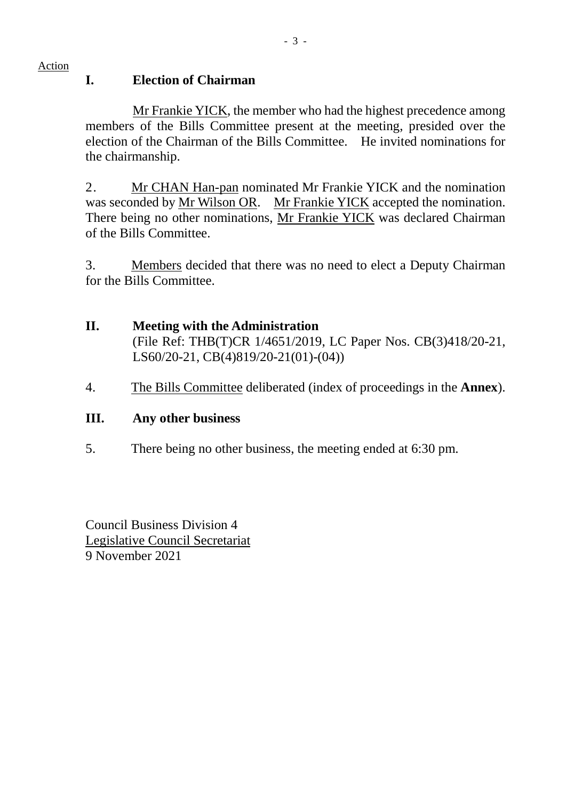Action

#### **I. Election of Chairman**

Mr Frankie YICK, the member who had the highest precedence among members of the Bills Committee present at the meeting, presided over the election of the Chairman of the Bills Committee. He invited nominations for the chairmanship.

2. Mr CHAN Han-pan nominated Mr Frankie YICK and the nomination was seconded by Mr Wilson OR. Mr Frankie YICK accepted the nomination. There being no other nominations, Mr Frankie YICK was declared Chairman of the Bills Committee.

3. Members decided that there was no need to elect a Deputy Chairman for the Bills Committee.

## **II. Meeting with the Administration**

(File Ref: THB(T)CR 1/4651/2019, LC Paper Nos. CB(3)418/20-21, LS60/20-21, CB(4)819/20-21(01)-(04))

4. The Bills Committee deliberated (index of proceedings in the **Annex**).

#### **III. Any other business**

5. There being no other business, the meeting ended at 6:30 pm.

Council Business Division 4 Legislative Council Secretariat 9 November 2021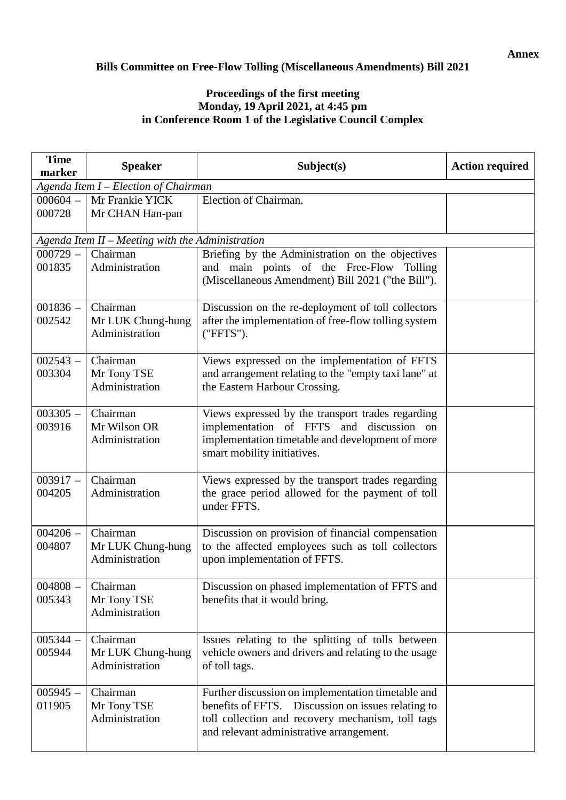#### **Annex**

#### **Bills Committee on Free-Flow Tolling (Miscellaneous Amendments) Bill 2021**

#### **Proceedings of the first meeting Monday, 19 April 2021, at 4:45 pm in Conference Room 1 of the Legislative Council Complex**

| <b>Time</b><br>marker                | <b>Speaker</b>                                   | Subject(s)                                                                                                                                                                                                | <b>Action required</b> |  |
|--------------------------------------|--------------------------------------------------|-----------------------------------------------------------------------------------------------------------------------------------------------------------------------------------------------------------|------------------------|--|
| Agenda Item I - Election of Chairman |                                                  |                                                                                                                                                                                                           |                        |  |
| $000604 -$                           | Mr Frankie YICK                                  | Election of Chairman.                                                                                                                                                                                     |                        |  |
| 000728                               | Mr CHAN Han-pan                                  |                                                                                                                                                                                                           |                        |  |
|                                      | Agenda Item II - Meeting with the Administration |                                                                                                                                                                                                           |                        |  |
| $000729 -$                           | Chairman                                         | Briefing by the Administration on the objectives                                                                                                                                                          |                        |  |
| 001835                               | Administration                                   | and main points of the Free-Flow Tolling<br>(Miscellaneous Amendment) Bill 2021 ("the Bill").                                                                                                             |                        |  |
| $001836 -$<br>002542                 | Chairman<br>Mr LUK Chung-hung<br>Administration  | Discussion on the re-deployment of toll collectors<br>after the implementation of free-flow tolling system<br>("FFTS").                                                                                   |                        |  |
| $002543 -$<br>003304                 | Chairman<br>Mr Tony TSE<br>Administration        | Views expressed on the implementation of FFTS<br>and arrangement relating to the "empty taxi lane" at<br>the Eastern Harbour Crossing.                                                                    |                        |  |
| $003305 -$<br>003916                 | Chairman<br>Mr Wilson OR<br>Administration       | Views expressed by the transport trades regarding<br>implementation of FFTS and discussion on<br>implementation timetable and development of more<br>smart mobility initiatives.                          |                        |  |
| $003917 -$<br>004205                 | Chairman<br>Administration                       | Views expressed by the transport trades regarding<br>the grace period allowed for the payment of toll<br>under FFTS.                                                                                      |                        |  |
| $004206 -$<br>004807                 | Chairman<br>Mr LUK Chung-hung<br>Administration  | Discussion on provision of financial compensation<br>to the affected employees such as toll collectors<br>upon implementation of FFTS.                                                                    |                        |  |
| $004808 -$<br>005343                 | Chairman<br>Mr Tony TSE<br>Administration        | Discussion on phased implementation of FFTS and<br>benefits that it would bring.                                                                                                                          |                        |  |
| $005344 -$<br>005944                 | Chairman<br>Mr LUK Chung-hung<br>Administration  | Issues relating to the splitting of tolls between<br>vehicle owners and drivers and relating to the usage<br>of toll tags.                                                                                |                        |  |
| $005945 -$<br>011905                 | Chairman<br>Mr Tony TSE<br>Administration        | Further discussion on implementation timetable and<br>benefits of FFTS. Discussion on issues relating to<br>toll collection and recovery mechanism, toll tags<br>and relevant administrative arrangement. |                        |  |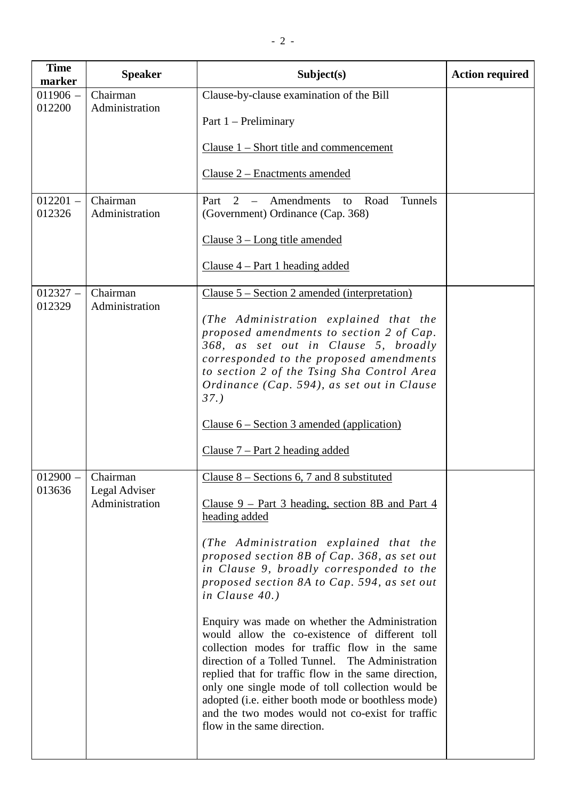| <b>Time</b><br>marker | <b>Speaker</b>                              | Subject(s)                                                                                                                                                                                                                                                                                                                                                                                                                                                                                                                                                                                                                                                                                                                                                                                      | <b>Action required</b> |
|-----------------------|---------------------------------------------|-------------------------------------------------------------------------------------------------------------------------------------------------------------------------------------------------------------------------------------------------------------------------------------------------------------------------------------------------------------------------------------------------------------------------------------------------------------------------------------------------------------------------------------------------------------------------------------------------------------------------------------------------------------------------------------------------------------------------------------------------------------------------------------------------|------------------------|
| $011906 -$<br>012200  | Chairman<br>Administration                  | Clause-by-clause examination of the Bill<br>Part $1$ – Preliminary                                                                                                                                                                                                                                                                                                                                                                                                                                                                                                                                                                                                                                                                                                                              |                        |
|                       |                                             | Clause $1 -$ Short title and commencement                                                                                                                                                                                                                                                                                                                                                                                                                                                                                                                                                                                                                                                                                                                                                       |                        |
|                       |                                             | Clause 2 - Enactments amended                                                                                                                                                                                                                                                                                                                                                                                                                                                                                                                                                                                                                                                                                                                                                                   |                        |
| $012201 -$<br>012326  | Chairman<br>Administration                  | Amendments<br>Tunnels<br>Part<br>2<br>Road<br>$\overline{\phantom{0}}$<br>to<br>(Government) Ordinance (Cap. 368)                                                                                                                                                                                                                                                                                                                                                                                                                                                                                                                                                                                                                                                                               |                        |
|                       |                                             | Clause 3 – Long title amended                                                                                                                                                                                                                                                                                                                                                                                                                                                                                                                                                                                                                                                                                                                                                                   |                        |
|                       |                                             | Clause $4$ – Part 1 heading added                                                                                                                                                                                                                                                                                                                                                                                                                                                                                                                                                                                                                                                                                                                                                               |                        |
| $012327 -$<br>012329  | Chairman<br>Administration                  | <u> Clause 5 – Section 2 amended (interpretation)</u>                                                                                                                                                                                                                                                                                                                                                                                                                                                                                                                                                                                                                                                                                                                                           |                        |
|                       |                                             | (The Administration explained that the<br>proposed amendments to section 2 of Cap.<br>368, as set out in Clause 5, broadly<br>corresponded to the proposed amendments<br>to section 2 of the Tsing Sha Control Area<br>Ordinance (Cap. 594), as set out in Clause<br>37.                                                                                                                                                                                                                                                                                                                                                                                                                                                                                                                        |                        |
|                       |                                             | Clause $6 - Section 3$ amended (application)                                                                                                                                                                                                                                                                                                                                                                                                                                                                                                                                                                                                                                                                                                                                                    |                        |
|                       |                                             | $Clause 7 - Part 2 heading added$                                                                                                                                                                                                                                                                                                                                                                                                                                                                                                                                                                                                                                                                                                                                                               |                        |
| $012900 -$<br>013636  | Chairman<br>Legal Adviser<br>Administration | Clause $8 -$ Sections 6, 7 and 8 substituted<br><u>Clause 9 – Part 3 heading, section 8B and Part 4</u><br>heading added<br>(The Administration explained that the<br>proposed section 8B of Cap. 368, as set out<br>in Clause 9, broadly corresponded to the<br>proposed section 8A to Cap. 594, as set out<br>in Clause $40.$ )<br>Enquiry was made on whether the Administration<br>would allow the co-existence of different toll<br>collection modes for traffic flow in the same<br>direction of a Tolled Tunnel. The Administration<br>replied that for traffic flow in the same direction,<br>only one single mode of toll collection would be<br>adopted (i.e. either booth mode or boothless mode)<br>and the two modes would not co-exist for traffic<br>flow in the same direction. |                        |